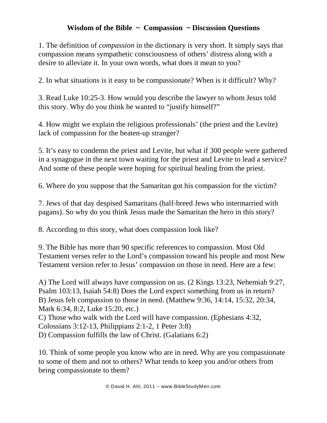## **Wisdom of the Bible ~ Compassion ~ Discussion Questions**

1. The definition of *compassion* in the dictionary is very short. It simply says that compassion means sympathetic consciousness of others' distress along with a desire to alleviate it. In your own words, what does it mean to you?

2. In what situations is it easy to be compassionate? When is it difficult? Why?

3. Read Luke 10:25-3. How would you describe the lawyer to whom Jesus told this story. Why do you think he wanted to "justify himself?"

4. How might we explain the religious professionals' (the priest and the Levite) lack of compassion for the beaten-up stranger?

5. It's easy to condemn the priest and Levite, but what if 300 people were gathered in a synagogue in the next town waiting for the priest and Levite to lead a service? And some of these people were hoping for spiritual healing from the priest.

6. Where do you suppose that the Samaritan got his compassion for the victim?

7. Jews of that day despised Samaritans (half-breed Jews who intermarried with pagans). So why do you think Jesus made the Samaritan the hero in this story?

8. According to this story, what does compassion look like?

9. The Bible has more than 90 specific references to compassion. Most Old Testament verses refer to the Lord's compassion toward his people and most New Testament version refer to Jesus' compassion on those in need. Here are a few:

A) The Lord will always have compassion on us. (2 Kings 13:23, Nehemiah 9:27, Psalm 103:13, Isaiah 54:8) Does the Lord expect something from us in return? B) Jesus felt compassion to those in need. (Matthew 9:36, 14:14, 15:32, 20:34, Mark 6:34, 8:2, Luke 15:20, etc.) C) Those who walk with the Lord will have compassion. (Ephesians 4:32, Colossians 3:12-13, Philippians 2:1-2, 1 Peter 3:8) D) Compassion fulfills the law of Christ. (Galatians 6:2)

10. Think of some people you know who are in need. Why are you compassionate to some of them and not to others? What tends to keep you and/or others from being compassionate to them?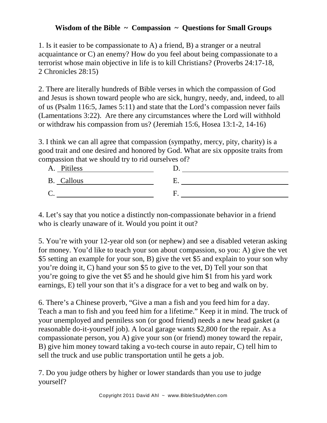## **Wisdom of the Bible ~ Compassion ~ Questions for Small Groups**

1. Is it easier to be compassionate to A) a friend, B) a stranger or a neutral acquaintance or C) an enemy? How do you feel about being compassionate to a terrorist whose main objective in life is to kill Christians? (Proverbs 24:17-18, 2 Chronicles 28:15)

2. There are literally hundreds of Bible verses in which the compassion of God and Jesus is shown toward people who are sick, hungry, needy, and, indeed, to all of us (Psalm 116:5, James 5:11) and state that the Lord's compassion never fails (Lamentations 3:22). Are there any circumstances where the Lord will withhold or withdraw his compassion from us? (Jeremiah 15:6, Hosea 13:1-2, 14-16)

3. I think we can all agree that compassion (sympathy, mercy, pity, charity) is a good trait and one desired and honored by God. What are six opposite traits from compassion that we should try to rid ourselves of?

| A. Pitiless |  |
|-------------|--|
| B. Callous  |  |
|             |  |

4. Let's say that you notice a distinctly non-compassionate behavior in a friend who is clearly unaware of it. Would you point it out?

5. You're with your 12-year old son (or nephew) and see a disabled veteran asking for money. You'd like to teach your son about compassion, so you: A) give the vet \$5 setting an example for your son, B) give the vet \$5 and explain to your son why you're doing it, C) hand your son \$5 to give to the vet, D) Tell your son that you're going to give the vet \$5 and he should give him \$1 from his yard work earnings, E) tell your son that it's a disgrace for a vet to beg and walk on by.

6. There's a Chinese proverb, "Give a man a fish and you feed him for a day. Teach a man to fish and you feed him for a lifetime." Keep it in mind. The truck of your unemployed and penniless son (or good friend) needs a new head gasket (a reasonable do-it-yourself job). A local garage wants \$2,800 for the repair. As a compassionate person, you A) give your son (or friend) money toward the repair, B) give him money toward taking a vo-tech course in auto repair, C) tell him to sell the truck and use public transportation until he gets a job.

7. Do you judge others by higher or lower standards than you use to judge yourself?